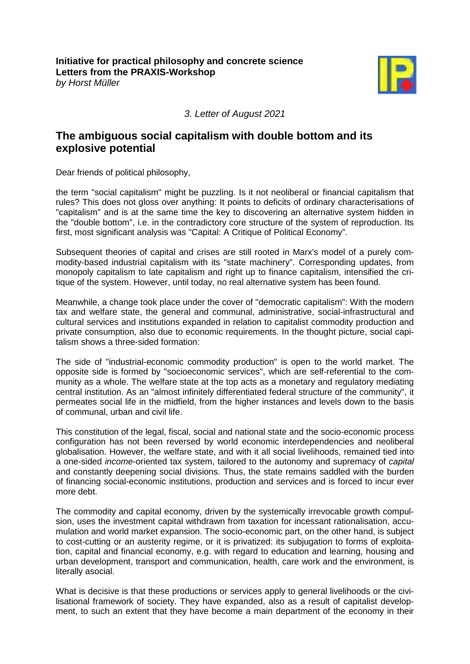

*3. Letter of August 2021*

## **The ambiguous social capitalism with double bottom and its explosive potential**

Dear friends of political philosophy,

the term "social capitalism" might be puzzling. Is it not neoliberal or financial capitalism that rules? This does not gloss over anything: It points to deficits of ordinary characterisations of "capitalism" and is at the same time the key to discovering an alternative system hidden in the "double bottom", i.e. in the contradictory core structure of the system of reproduction. Its first, most significant analysis was "Capital: A Critique of Political Economy".

Subsequent theories of capital and crises are still rooted in Marx's model of a purely commodity-based industrial capitalism with its "state machinery". Corresponding updates, from monopoly capitalism to late capitalism and right up to finance capitalism, intensified the critique of the system. However, until today, no real alternative system has been found.

Meanwhile, a change took place under the cover of "democratic capitalism": With the modern tax and welfare state, the general and communal, administrative, social-infrastructural and cultural services and institutions expanded in relation to capitalist commodity production and private consumption, also due to economic requirements. In the thought picture, social capitalism shows a three-sided formation:

The side of "industrial-economic commodity production" is open to the world market. The opposite side is formed by "socioeconomic services", which are self-referential to the community as a whole. The welfare state at the top acts as a monetary and regulatory mediating central institution. As an "almost infinitely differentiated federal structure of the community", it permeates social life in the midfield, from the higher instances and levels down to the basis of communal, urban and civil life.

This constitution of the legal, fiscal, social and national state and the socio-economic process configuration has not been reversed by world economic interdependencies and neoliberal globalisation. However, the welfare state, and with it all social livelihoods, remained tied into a one-sided *income*-oriented tax system, tailored to the autonomy and supremacy of *capital* and constantly deepening social divisions. Thus, the state remains saddled with the burden of financing social-economic institutions, production and services and is forced to incur ever more debt.

The commodity and capital economy, driven by the systemically irrevocable growth compulsion, uses the investment capital withdrawn from taxation for incessant rationalisation, accumulation and world market expansion. The socio-economic part, on the other hand, is subject to cost-cutting or an austerity regime, or it is privatized: its subjugation to forms of exploitation, capital and financial economy, e.g. with regard to education and learning, housing and urban development, transport and communication, health, care work and the environment, is literally asocial.

What is decisive is that these productions or services apply to general livelihoods or the civilisational framework of society. They have expanded, also as a result of capitalist development, to such an extent that they have become a main department of the economy in their